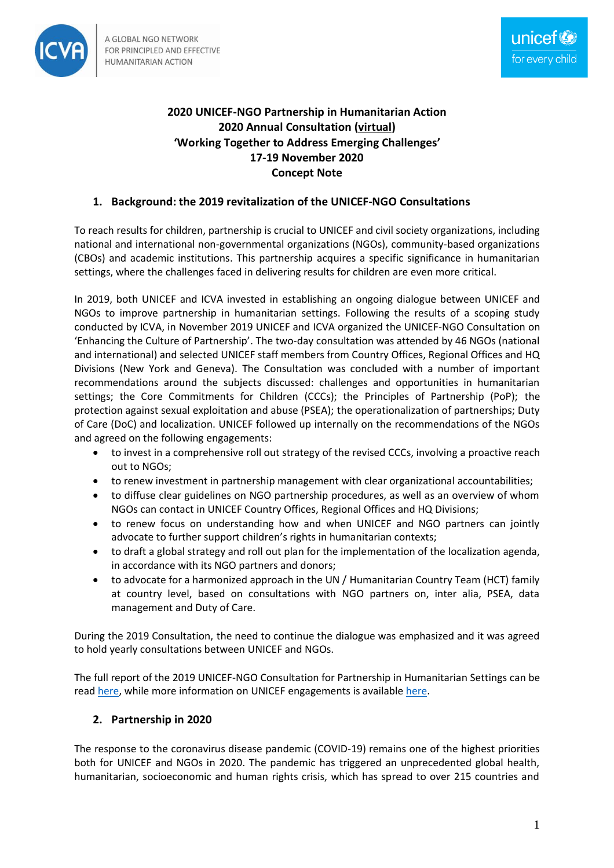

# **2020 UNICEF-NGO Partnership in Humanitarian Action 2020 Annual Consultation (virtual) 'Working Together to Address Emerging Challenges' 17-19 November 2020 Concept Note**

#### **1. Background: the 2019 revitalization of the UNICEF-NGO Consultations**

To reach results for children, partnership is crucial to UNICEF and civil society organizations, including national and international non-governmental organizations (NGOs), community-based organizations (CBOs) and academic institutions. This partnership acquires a specific significance in humanitarian settings, where the challenges faced in delivering results for children are even more critical.

In 2019, both UNICEF and ICVA invested in establishing an ongoing dialogue between UNICEF and NGOs to improve partnership in humanitarian settings. Following the results of a scoping study conducted by ICVA, in November 2019 UNICEF and ICVA organized the UNICEF-NGO Consultation on 'Enhancing the Culture of Partnership'. The two-day consultation was attended by 46 NGOs (national and international) and selected UNICEF staff members from Country Offices, Regional Offices and HQ Divisions (New York and Geneva). The Consultation was concluded with a number of important recommendations around the subjects discussed: challenges and opportunities in humanitarian settings; the Core Commitments for Children (CCCs); the Principles of Partnership (PoP); the protection against sexual exploitation and abuse (PSEA); the operationalization of partnerships; Duty of Care (DoC) and localization. UNICEF followed up internally on the recommendations of the NGOs and agreed on the following engagements:

- to invest in a comprehensive roll out strategy of the revised CCCs, involving a proactive reach out to NGOs;
- to renew investment in partnership management with clear organizational accountabilities;
- to diffuse clear guidelines on NGO partnership procedures, as well as an overview of whom NGOs can contact in UNICEF Country Offices, Regional Offices and HQ Divisions;
- to renew focus on understanding how and when UNICEF and NGO partners can jointly advocate to further support children's rights in humanitarian contexts;
- to draft a global strategy and roll out plan for the implementation of the localization agenda, in accordance with its NGO partners and donors;
- to advocate for a harmonized approach in the UN / Humanitarian Country Team (HCT) family at country level, based on consultations with NGO partners on, inter alia, PSEA, data management and Duty of Care.

During the 2019 Consultation, the need to continue the dialogue was emphasized and it was agreed to hold yearly consultations between UNICEF and NGOs.

The full report of the 2019 UNICEF-NGO Consultation for Partnership in Humanitarian Settings can be read [here,](https://www.icvanetwork.org/system/files/versions/UNICEF%20NGO%20Consultation%20Report%20November%202019%20_0.pdf) while more information on UNICEF engagements is available [here.](https://www.icvanetwork.org/system/files/versions/UNICEF%E2%80%99s%20Summary%20Report%20%28Key%20Recommendations%29%20NGO%20consultations%20November%202019.pdf)

#### **2. Partnership in 2020**

The response to the coronavirus disease pandemic (COVID-19) remains one of the highest priorities both for UNICEF and NGOs in 2020. The pandemic has triggered an unprecedented global health, humanitarian, socioeconomic and human rights crisis, which has spread to over 215 countries and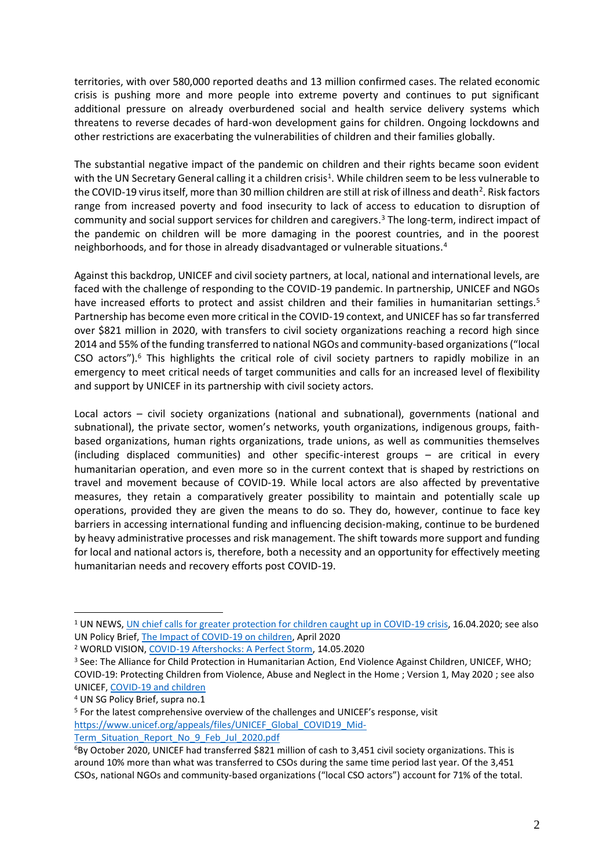territories, with over 580,000 reported deaths and 13 million confirmed cases. The related economic crisis is pushing more and more people into extreme poverty and continues to put significant additional pressure on already overburdened social and health service delivery systems which threatens to reverse decades of hard-won development gains for children. Ongoing lockdowns and other restrictions are exacerbating the vulnerabilities of children and their families globally.

The substantial negative impact of the pandemic on children and their rights became soon evident with the UN Secretary General calling it a children crisis<sup>1</sup>. While children seem to be less vulnerable to the COVID-19 virus itself, more than 30 million children are still at risk of illness and death<sup>2</sup>. Risk factors range from increased poverty and food insecurity to lack of access to education to disruption of community and social support services for children and caregivers. <sup>3</sup> The long-term, indirect impact of the pandemic on children will be more damaging in the poorest countries, and in the poorest neighborhoods, and for those in already disadvantaged or vulnerable situations.<sup>4</sup>

Against this backdrop, UNICEF and civil society partners, at local, national and international levels, are faced with the challenge of responding to the COVID-19 pandemic. In partnership, UNICEF and NGOs have increased efforts to protect and assist children and their families in humanitarian settings.<sup>5</sup> Partnership has become even more critical in the COVID-19 context, and UNICEF has so far transferred over \$821 million in 2020, with transfers to civil society organizations reaching a record high since 2014 and 55% of the funding transferred to national NGOs and community-based organizations ("local CSO actors").<sup>6</sup> This highlights the critical role of civil society partners to rapidly mobilize in an emergency to meet critical needs of target communities and calls for an increased level of flexibility and support by UNICEF in its partnership with civil society actors.

Local actors – civil society organizations (national and subnational), governments (national and subnational), the private sector, women's networks, youth organizations, indigenous groups, faithbased organizations, human rights organizations, trade unions, as well as communities themselves (including displaced communities) and other specific-interest groups – are critical in every humanitarian operation, and even more so in the current context that is shaped by restrictions on travel and movement because of COVID-19. While local actors are also affected by preventative measures, they retain a comparatively greater possibility to maintain and potentially scale up operations, provided they are given the means to do so. They do, however, continue to face key barriers in accessing international funding and influencing decision-making, continue to be burdened by heavy administrative processes and risk management. The shift towards more support and funding for local and national actors is, therefore, both a necessity and an opportunity for effectively meeting humanitarian needs and recovery efforts post COVID-19.

<sup>1</sup> UN NEWS[, UN chief calls for greater protection for children caught up in COVID-19 crisis,](https://news.un.org/en/story/2020/04/1061892) 16.04.2020; see also UN Policy Brief[, The Impact of COVID-19 on children,](https://unsdg.un.org/download/2081/30314) April 2020

<sup>2</sup> WORLD VISION[, COVID-19 Aftershocks: A Perfect Storm,](https://www.wvi.org/publications/report/coronavirus-health-crisis/covid-19-aftershocks-perfect-storm) 14.05.2020

<sup>&</sup>lt;sup>3</sup> See: The Alliance for Child Protection in Humanitarian Action, End Violence Against Children, UNICEF, WHO; COVID-19: Protecting Children from Violence, Abuse and Neglect in the Home ; Version 1, May 2020 ; see also UNICEF, [COVID-19 and children](https://data.unicef.org/topic/covid-19-and-children/)

<sup>4</sup> UN SG Policy Brief, supra no.1

<sup>5</sup> For the latest comprehensive overview of the challenges and UNICEF's response, visit [https://www.unicef.org/appeals/files/UNICEF\\_Global\\_COVID19\\_Mid-](https://www.unicef.org/appeals/files/UNICEF_Global_COVID19_Mid-Term_Situation_Report_No_9_Feb_Jul_2020.pdf)[Term\\_Situation\\_Report\\_No\\_9\\_Feb\\_Jul\\_2020.pdf](https://www.unicef.org/appeals/files/UNICEF_Global_COVID19_Mid-Term_Situation_Report_No_9_Feb_Jul_2020.pdf)

<sup>6</sup>By October 2020, UNICEF had transferred \$821 million of cash to 3,451 civil society organizations. This is around 10% more than what was transferred to CSOs during the same time period last year. Of the 3,451 CSOs, national NGOs and community-based organizations ("local CSO actors") account for 71% of the total.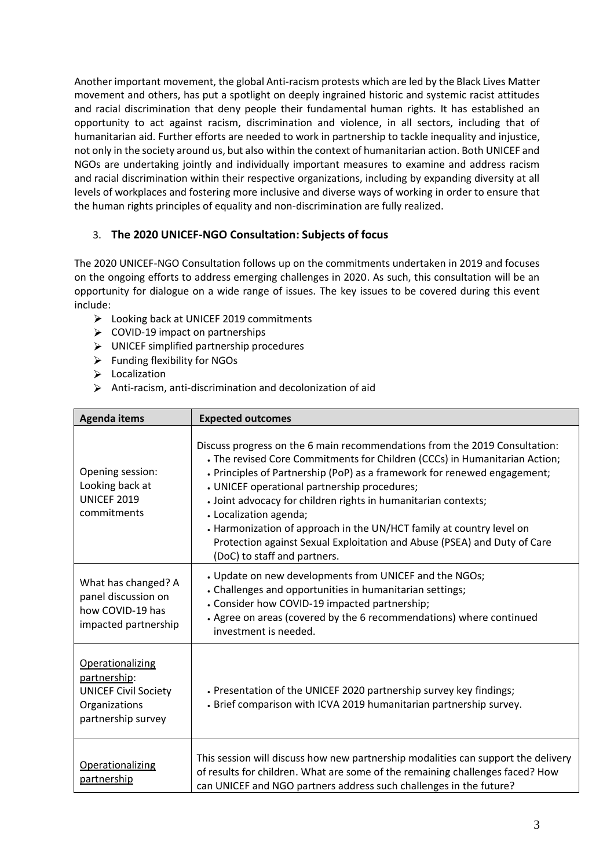Another important movement, the global Anti-racism protests which are led by the Black Lives Matter movement and others, has put a spotlight on deeply ingrained historic and systemic racist attitudes and racial discrimination that deny people their fundamental human rights. It has established an opportunity to act against racism, discrimination and violence, in all sectors, including that of humanitarian aid. Further efforts are needed to work in partnership to tackle inequality and injustice, not only in the society around us, but also within the context of humanitarian action. Both UNICEF and NGOs are undertaking jointly and individually important measures to examine and address racism and racial discrimination within their respective organizations, including by expanding diversity at all levels of workplaces and fostering more inclusive and diverse ways of working in order to ensure that the human rights principles of equality and non-discrimination are fully realized.

## 3. **The 2020 UNICEF-NGO Consultation: Subjects of focus**

The 2020 UNICEF-NGO Consultation follows up on the commitments undertaken in 2019 and focuses on the ongoing efforts to address emerging challenges in 2020. As such, this consultation will be an opportunity for dialogue on a wide range of issues. The key issues to be covered during this event include:

- Looking back at UNICEF 2019 commitments
- $\triangleright$  COVID-19 impact on partnerships
- $\triangleright$  UNICEF simplified partnership procedures
- $\triangleright$  Funding flexibility for NGOs
- $\triangleright$  Localization
- $\triangleright$  Anti-racism, anti-discrimination and decolonization of aid

| <b>Agenda items</b>                                                                                    | <b>Expected outcomes</b>                                                                                                                                                                                                                                                                                                                                                                                                                                                                                                                                             |
|--------------------------------------------------------------------------------------------------------|----------------------------------------------------------------------------------------------------------------------------------------------------------------------------------------------------------------------------------------------------------------------------------------------------------------------------------------------------------------------------------------------------------------------------------------------------------------------------------------------------------------------------------------------------------------------|
| Opening session:<br>Looking back at<br><b>UNICEF 2019</b><br>commitments                               | Discuss progress on the 6 main recommendations from the 2019 Consultation:<br>. The revised Core Commitments for Children (CCCs) in Humanitarian Action;<br>. Principles of Partnership (PoP) as a framework for renewed engagement;<br>• UNICEF operational partnership procedures;<br>• Joint advocacy for children rights in humanitarian contexts;<br>• Localization agenda;<br>• Harmonization of approach in the UN/HCT family at country level on<br>Protection against Sexual Exploitation and Abuse (PSEA) and Duty of Care<br>(DoC) to staff and partners. |
| What has changed? A<br>panel discussion on<br>how COVID-19 has<br>impacted partnership                 | • Update on new developments from UNICEF and the NGOs;<br>• Challenges and opportunities in humanitarian settings;<br>• Consider how COVID-19 impacted partnership;<br>• Agree on areas (covered by the 6 recommendations) where continued<br>investment is needed.                                                                                                                                                                                                                                                                                                  |
| Operationalizing<br>partnership:<br><b>UNICEF Civil Society</b><br>Organizations<br>partnership survey | • Presentation of the UNICEF 2020 partnership survey key findings;<br>• Brief comparison with ICVA 2019 humanitarian partnership survey.                                                                                                                                                                                                                                                                                                                                                                                                                             |
| Operationalizing<br>partnership                                                                        | This session will discuss how new partnership modalities can support the delivery<br>of results for children. What are some of the remaining challenges faced? How<br>can UNICEF and NGO partners address such challenges in the future?                                                                                                                                                                                                                                                                                                                             |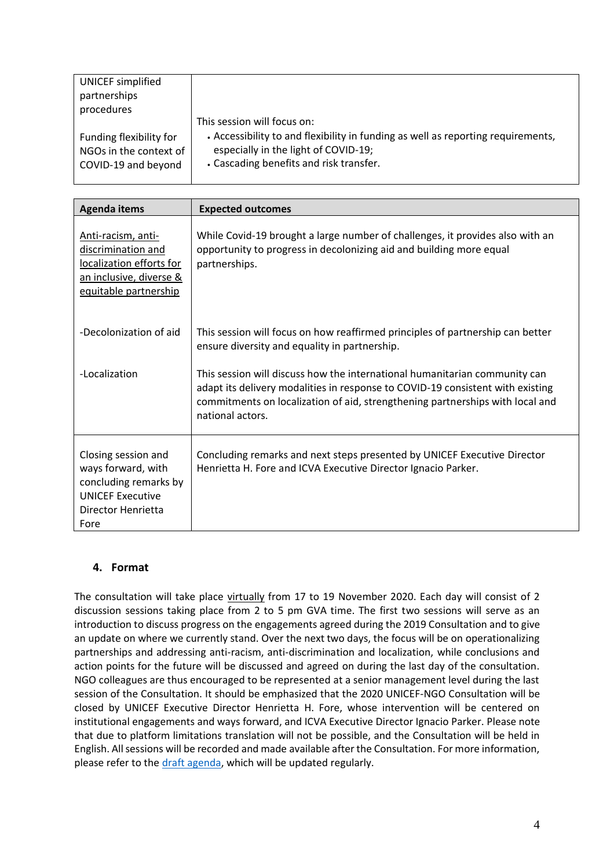| UNICEF simplified                                                        |                                                                                                                                                                     |
|--------------------------------------------------------------------------|---------------------------------------------------------------------------------------------------------------------------------------------------------------------|
| partnerships                                                             |                                                                                                                                                                     |
| procedures                                                               |                                                                                                                                                                     |
|                                                                          | This session will focus on:                                                                                                                                         |
| Funding flexibility for<br>NGOs in the context of<br>COVID-19 and beyond | . Accessibility to and flexibility in funding as well as reporting requirements,<br>especially in the light of COVID-19;<br>• Cascading benefits and risk transfer. |

| <b>Agenda items</b>                                                                                                         | <b>Expected outcomes</b>                                                                                                                                                                                                                                          |
|-----------------------------------------------------------------------------------------------------------------------------|-------------------------------------------------------------------------------------------------------------------------------------------------------------------------------------------------------------------------------------------------------------------|
| Anti-racism, anti-<br>discrimination and<br>localization efforts for<br>an inclusive, diverse &<br>equitable partnership    | While Covid-19 brought a large number of challenges, it provides also with an<br>opportunity to progress in decolonizing aid and building more equal<br>partnerships.                                                                                             |
| -Decolonization of aid                                                                                                      | This session will focus on how reaffirmed principles of partnership can better<br>ensure diversity and equality in partnership.                                                                                                                                   |
| -Localization                                                                                                               | This session will discuss how the international humanitarian community can<br>adapt its delivery modalities in response to COVID-19 consistent with existing<br>commitments on localization of aid, strengthening partnerships with local and<br>national actors. |
| Closing session and<br>ways forward, with<br>concluding remarks by<br><b>UNICEF Executive</b><br>Director Henrietta<br>Fore | Concluding remarks and next steps presented by UNICEF Executive Director<br>Henrietta H. Fore and ICVA Executive Director Ignacio Parker.                                                                                                                         |

## **4. Format**

The consultation will take place virtually from 17 to 19 November 2020. Each day will consist of 2 discussion sessions taking place from 2 to 5 pm GVA time. The first two sessions will serve as an introduction to discuss progress on the engagements agreed during the 2019 Consultation and to give an update on where we currently stand. Over the next two days, the focus will be on operationalizing partnerships and addressing anti-racism, anti-discrimination and localization, while conclusions and action points for the future will be discussed and agreed on during the last day of the consultation. NGO colleagues are thus encouraged to be represented at a senior management level during the last session of the Consultation. It should be emphasized that the 2020 UNICEF-NGO Consultation will be closed by UNICEF Executive Director Henrietta H. Fore, whose intervention will be centered on institutional engagements and ways forward, and ICVA Executive Director Ignacio Parker. Please note that due to platform limitations translation will not be possible, and the Consultation will be held in English. All sessions will be recorded and made available after the Consultation. For more information, please refer to the [draft agenda,](https://www.icvanetwork.org/system/files/versions/20201019_Agenda_external_UNICEF%20consultation_v4.pdf) which will be updated regularly.